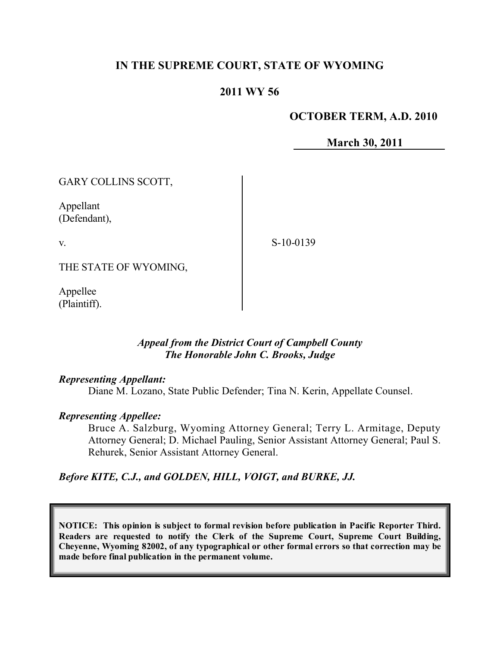# **IN THE SUPREME COURT, STATE OF WYOMING**

# **2011 WY 56**

## **OCTOBER TERM, A.D. 2010**

**March 30, 2011**

GARY COLLINS SCOTT,

Appellant (Defendant),

v.

S-10-0139

THE STATE OF WYOMING,

Appellee (Plaintiff).

## *Appeal from the District Court of Campbell County The Honorable John C. Brooks, Judge*

## *Representing Appellant:*

Diane M. Lozano, State Public Defender; Tina N. Kerin, Appellate Counsel.

## *Representing Appellee:*

Bruce A. Salzburg, Wyoming Attorney General; Terry L. Armitage, Deputy Attorney General; D. Michael Pauling, Senior Assistant Attorney General; Paul S. Rehurek, Senior Assistant Attorney General.

*Before KITE, C.J., and GOLDEN, HILL, VOIGT, and BURKE, JJ.*

**NOTICE: This opinion is subject to formal revision before publication in Pacific Reporter Third. Readers are requested to notify the Clerk of the Supreme Court, Supreme Court Building, Cheyenne, Wyoming 82002, of any typographical or other formal errors so that correction may be made before final publication in the permanent volume.**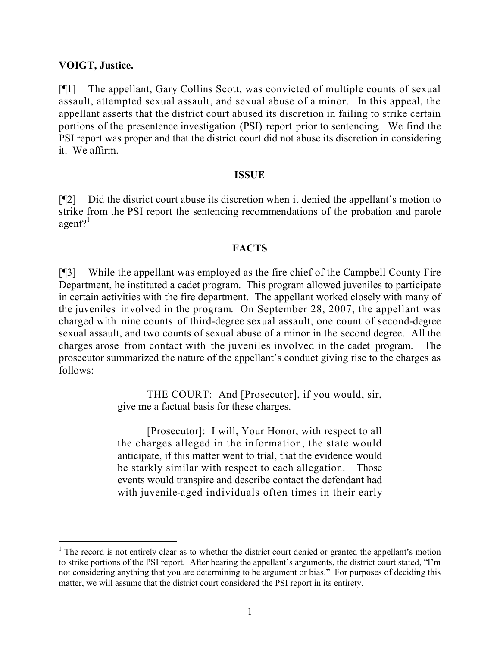## **VOIGT, Justice.**

 $\overline{a}$ 

[¶1] The appellant, Gary Collins Scott, was convicted of multiple counts of sexual assault, attempted sexual assault, and sexual abuse of a minor. In this appeal, the appellant asserts that the district court abused its discretion in failing to strike certain portions of the presentence investigation (PSI) report prior to sentencing. We find the PSI report was proper and that the district court did not abuse its discretion in considering it. We affirm.

## **ISSUE**

[¶2] Did the district court abuse its discretion when it denied the appellant's motion to strike from the PSI report the sentencing recommendations of the probation and parole  $agent?$ <sup>1</sup>

## **FACTS**

[¶3] While the appellant was employed as the fire chief of the Campbell County Fire Department, he instituted a cadet program. This program allowed juveniles to participate in certain activities with the fire department. The appellant worked closely with many of the juveniles involved in the program. On September 28, 2007, the appellant was charged with nine counts of third-degree sexual assault, one count of second-degree sexual assault, and two counts of sexual abuse of a minor in the second degree. All the charges arose from contact with the juveniles involved in the cadet program. The prosecutor summarized the nature of the appellant's conduct giving rise to the charges as follows:

> THE COURT: And [Prosecutor], if you would, sir, give me a factual basis for these charges.

> [Prosecutor]: I will, Your Honor, with respect to all the charges alleged in the information, the state would anticipate, if this matter went to trial, that the evidence would be starkly similar with respect to each allegation. Those events would transpire and describe contact the defendant had with juvenile-aged individuals often times in their early

<sup>&</sup>lt;sup>1</sup> The record is not entirely clear as to whether the district court denied or granted the appellant's motion to strike portions of the PSI report. After hearing the appellant's arguments, the district court stated, "I'm not considering anything that you are determining to be argument or bias." For purposes of deciding this matter, we will assume that the district court considered the PSI report in its entirety.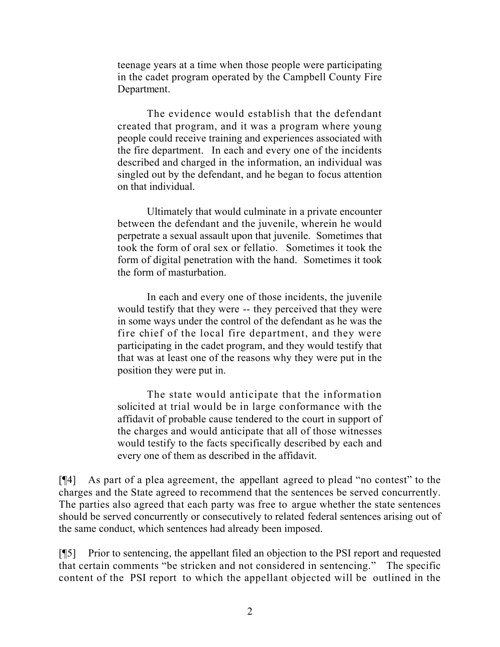teenage years at a time when those people were participating in the cadet program operated by the Campbell County Fire Department.

The evidence would establish that the defendant created that program, and it was a program where young people could receive training and experiences associated with the fire department. In each and every one of the incidents described and charged in the information, an individual was singled out by the defendant, and he began to focus attention on that individual.

Ultimately that would culminate in a private encounter between the defendant and the juvenile, wherein he would perpetrate a sexual assault upon that juvenile. Sometimes that took the form of oral sex or fellatio. Sometimes it took the form of digital penetration with the hand. Sometimes it took the form of masturbation.

In each and every one of those incidents, the juvenile would testify that they were -- they perceived that they were in some ways under the control of the defendant as he was the fire chief of the local fire department, and they were participating in the cadet program, and they would testify that that was at least one of the reasons why they were put in the position they were put in.

The state would anticipate that the information solicited at trial would be in large conformance with the affidavit of probable cause tendered to the court in support of the charges and would anticipate that all of those witnesses would testify to the facts specifically described by each and every one of them as described in the affidavit.

[¶4] As part of a plea agreement, the appellant agreed to plead "no contest" to the charges and the State agreed to recommend that the sentences be served concurrently. The parties also agreed that each party was free to argue whether the state sentences should be served concurrently or consecutively to related federal sentences arising out of the same conduct, which sentences had already been imposed.

[¶5] Prior to sentencing, the appellant filed an objection to the PSI report and requested that certain comments "be stricken and not considered in sentencing." The specific content of the PSI report to which the appellant objected will be outlined in the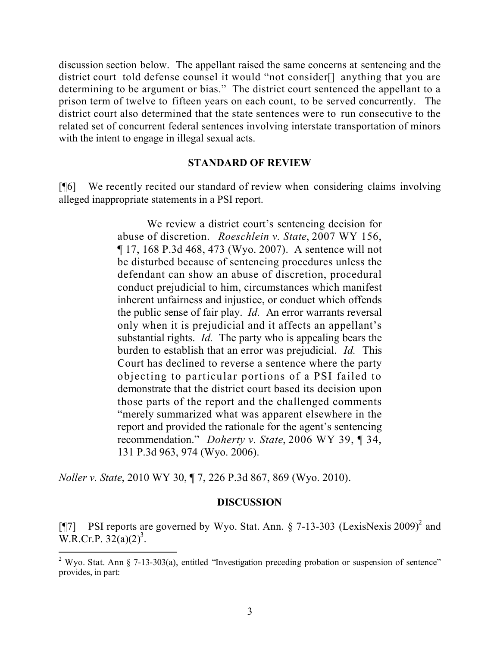discussion section below. The appellant raised the same concerns at sentencing and the district court told defense counsel it would "not consider[] anything that you are determining to be argument or bias." The district court sentenced the appellant to a prison term of twelve to fifteen years on each count, to be served concurrently. The district court also determined that the state sentences were to run consecutive to the related set of concurrent federal sentences involving interstate transportation of minors with the intent to engage in illegal sexual acts.

## **STANDARD OF REVIEW**

[¶6] We recently recited our standard of review when considering claims involving alleged inappropriate statements in a PSI report.

> We review a district court's sentencing decision for abuse of discretion. *Roeschlein v. State*, 2007 WY 156, ¶ 17, 168 P.3d 468, 473 (Wyo. 2007). A sentence will not be disturbed because of sentencing procedures unless the defendant can show an abuse of discretion, procedural conduct prejudicial to him, circumstances which manifest inherent unfairness and injustice, or conduct which offends the public sense of fair play. *Id.* An error warrants reversal only when it is prejudicial and it affects an appellant's substantial rights. *Id.* The party who is appealing bears the burden to establish that an error was prejudicial. *Id.* This Court has declined to reverse a sentence where the party objecting to particular portions of a PSI failed to demonstrate that the district court based its decision upon those parts of the report and the challenged comments "merely summarized what was apparent elsewhere in the report and provided the rationale for the agent's sentencing recommendation." *Doherty v. State*, 2006 WY 39, ¶ 34, 131 P.3d 963, 974 (Wyo. 2006).

*Noller v. State*, 2010 WY 30, ¶ 7, 226 P.3d 867, 869 (Wyo. 2010).

l

## **DISCUSSION**

[¶7] PSI reports are governed by Wyo. Stat. Ann.  $\S$  7-13-303 (LexisNexis 2009)<sup>2</sup> and  $W.R.Cr.P. 32(a)(2)<sup>3</sup>.$ 

<sup>&</sup>lt;sup>2</sup> Wyo. Stat. Ann § 7-13-303(a), entitled "Investigation preceding probation or suspension of sentence" provides, in part: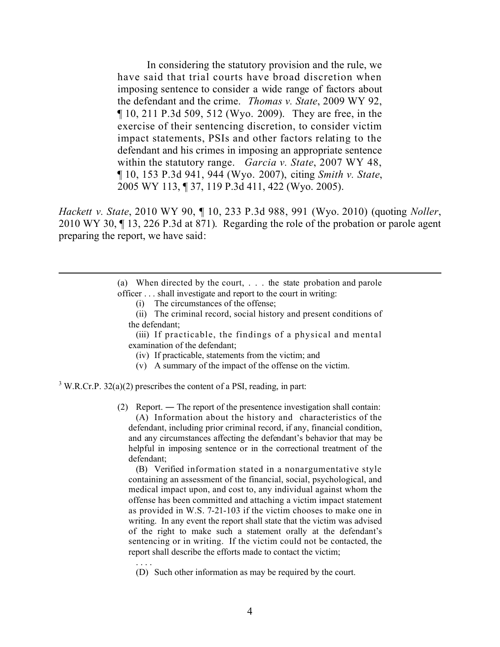In considering the statutory provision and the rule, we have said that trial courts have broad discretion when imposing sentence to consider a wide range of factors about the defendant and the crime. *Thomas v. State*, 2009 WY 92, ¶ 10, 211 P.3d 509, 512 (Wyo. 2009). They are free, in the exercise of their sentencing discretion, to consider victim impact statements, PSIs and other factors relating to the defendant and his crimes in imposing an appropriate sentence within the statutory range. *Garcia v. State*, 2007 WY 48, ¶ 10, 153 P.3d 941, 944 (Wyo. 2007), citing *Smith v. State*, 2005 WY 113, ¶ 37, 119 P.3d 411, 422 (Wyo. 2005).

*Hackett v. State*, 2010 WY 90, ¶ 10, 233 P.3d 988, 991 (Wyo. 2010) (quoting *Noller*, 2010 WY 30, ¶ 13, 226 P.3d at 871). Regarding the role of the probation or parole agent preparing the report, we have said:

> (a) When directed by the court, . . . the state probation and parole officer . . . shall investigate and report to the court in writing:

- (i) The circumstances of the offense;
- (ii) The criminal record, social history and present conditions of the defendant;

(iii) If practicable, the findings of a physical and mental examination of the defendant;

- (iv) If practicable, statements from the victim; and
- (v) A summary of the impact of the offense on the victim.

 $3$  W.R.Cr.P. 32(a)(2) prescribes the content of a PSI, reading, in part:

. . . .

 $\overline{a}$ 

(2) Report. ― The report of the presentence investigation shall contain: (A) Information about the history and characteristics of the defendant, including prior criminal record, if any, financial condition, and any circumstances affecting the defendant's behavior that may be helpful in imposing sentence or in the correctional treatment of the defendant;

(B) Verified information stated in a nonargumentative style containing an assessment of the financial, social, psychological, and medical impact upon, and cost to, any individual against whom the offense has been committed and attaching a victim impact statement as provided in W.S. 7-21-103 if the victim chooses to make one in writing. In any event the report shall state that the victim was advised of the right to make such a statement orally at the defendant's sentencing or in writing. If the victim could not be contacted, the report shall describe the efforts made to contact the victim;

(D) Such other information as may be required by the court.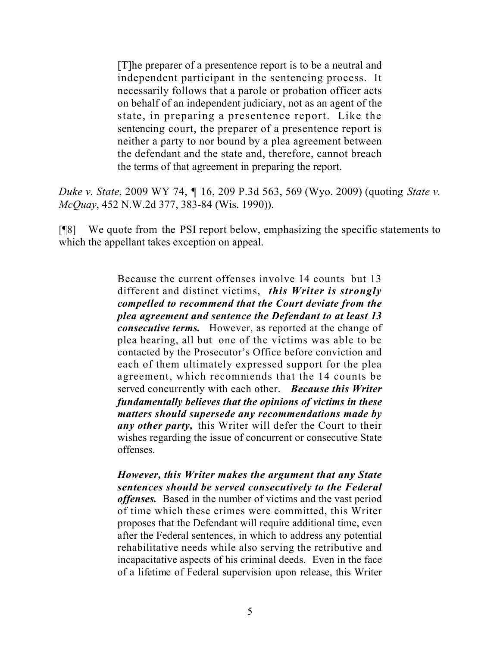[T]he preparer of a presentence report is to be a neutral and independent participant in the sentencing process. It necessarily follows that a parole or probation officer acts on behalf of an independent judiciary, not as an agent of the state, in preparing a presentence report. Like the sentencing court, the preparer of a presentence report is neither a party to nor bound by a plea agreement between the defendant and the state and, therefore, cannot breach the terms of that agreement in preparing the report.

*Duke v. State*, 2009 WY 74, ¶ 16, 209 P.3d 563, 569 (Wyo. 2009) (quoting *State v. McQuay*, 452 N.W.2d 377, 383-84 (Wis. 1990)).

[¶8] We quote from the PSI report below, emphasizing the specific statements to which the appellant takes exception on appeal.

> Because the current offenses involve 14 counts but 13 different and distinct victims, *this Writer is strongly compelled to recommend that the Court deviate from the plea agreement and sentence the Defendant to at least 13 consecutive terms.* However, as reported at the change of plea hearing, all but one of the victims was able to be contacted by the Prosecutor's Office before conviction and each of them ultimately expressed support for the plea agreement, which recommends that the 14 counts be served concurrently with each other. *Because this Writer fundamentally believes that the opinions of victims in these matters should supersede any recommendations made by any other party,* this Writer will defer the Court to their wishes regarding the issue of concurrent or consecutive State offenses.

> *However, this Writer makes the argument that any State sentences should be served consecutively to the Federal offenses.* Based in the number of victims and the vast period of time which these crimes were committed, this Writer proposes that the Defendant will require additional time, even after the Federal sentences, in which to address any potential rehabilitative needs while also serving the retributive and incapacitative aspects of his criminal deeds. Even in the face of a lifetime of Federal supervision upon release, this Writer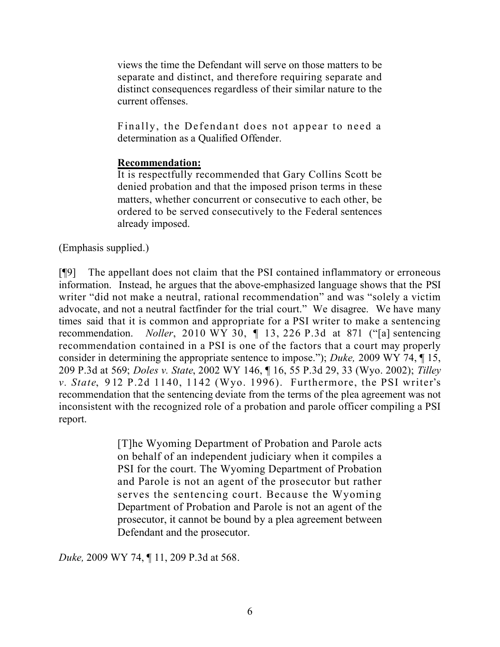views the time the Defendant will serve on those matters to be separate and distinct, and therefore requiring separate and distinct consequences regardless of their similar nature to the current offenses.

Finally, the Defendant does not appear to need a determination as a Qualified Offender.

# **Recommendation:**

It is respectfully recommended that Gary Collins Scott be denied probation and that the imposed prison terms in these matters, whether concurrent or consecutive to each other, be ordered to be served consecutively to the Federal sentences already imposed.

(Emphasis supplied.)

[¶9] The appellant does not claim that the PSI contained inflammatory or erroneous information. Instead, he argues that the above-emphasized language shows that the PSI writer "did not make a neutral, rational recommendation" and was "solely a victim advocate, and not a neutral factfinder for the trial court." We disagree. We have many times said that it is common and appropriate for a PSI writer to make a sentencing recommendation. *Noller*, 2010 WY 30, ¶ 13, 226 P.3d at 871 ("[a] sentencing recommendation contained in a PSI is one of the factors that a court may properly consider in determining the appropriate sentence to impose."); *Duke,* 2009 WY 74, ¶ 15, 209 P.3d at 569; *Doles v. State*, 2002 WY 146, ¶ 16, 55 P.3d 29, 33 (Wyo. 2002); *Tilley v. State*, 912 P.2d 1140, 1142 (Wyo. 1996). Furthermore, the PSI writer's recommendation that the sentencing deviate from the terms of the plea agreement was not inconsistent with the recognized role of a probation and parole officer compiling a PSI report.

> [T]he Wyoming Department of Probation and Parole acts on behalf of an independent judiciary when it compiles a PSI for the court. The Wyoming Department of Probation and Parole is not an agent of the prosecutor but rather serves the sentencing court. Because the Wyoming Department of Probation and Parole is not an agent of the prosecutor, it cannot be bound by a plea agreement between Defendant and the prosecutor.

*Duke,* 2009 WY 74, ¶ 11, 209 P.3d at 568.